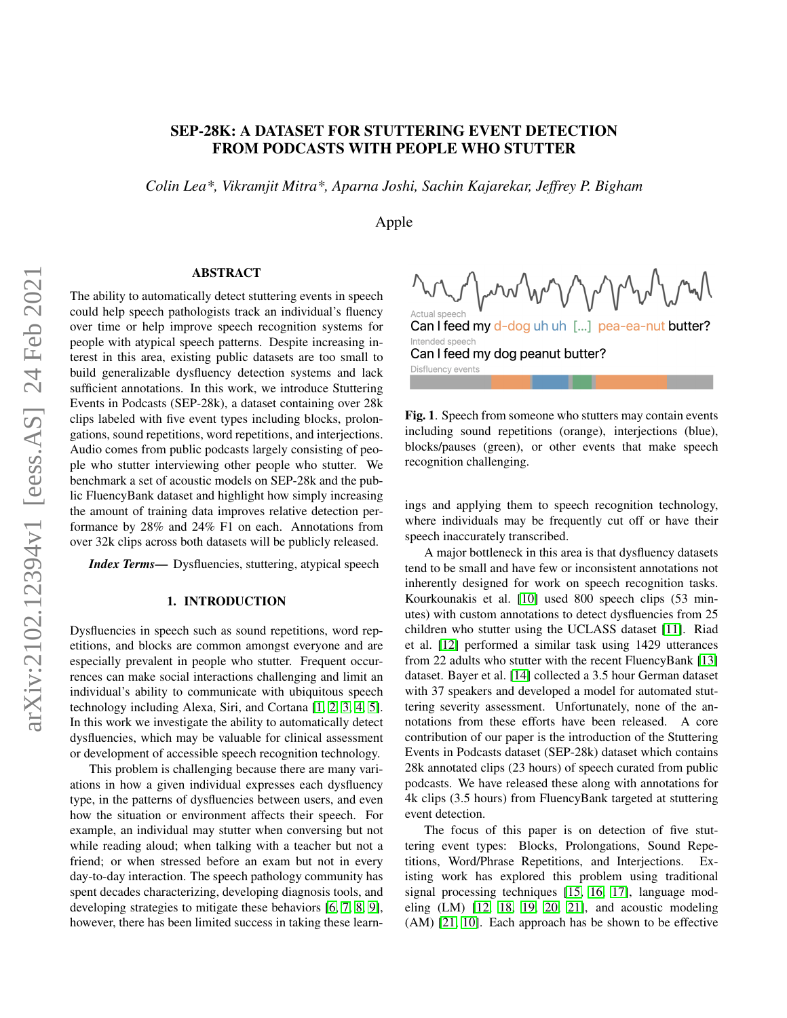# SEP-28K: A DATASET FOR STUTTERING EVENT DETECTION FROM PODCASTS WITH PEOPLE WHO STUTTER

*Colin Lea\*, Vikramjit Mitra\*, Aparna Joshi, Sachin Kajarekar, Jeffrey P. Bigham*

Apple

# ABSTRACT

The ability to automatically detect stuttering events in speech could help speech pathologists track an individual's fluency over time or help improve speech recognition systems for people with atypical speech patterns. Despite increasing interest in this area, existing public datasets are too small to build generalizable dysfluency detection systems and lack sufficient annotations. In this work, we introduce Stuttering Events in Podcasts (SEP-28k), a dataset containing over 28k clips labeled with five event types including blocks, prolongations, sound repetitions, word repetitions, and interjections. Audio comes from public podcasts largely consisting of people who stutter interviewing other people who stutter. We benchmark a set of acoustic models on SEP-28k and the public FluencyBank dataset and highlight how simply increasing the amount of training data improves relative detection performance by 28% and 24% F1 on each. Annotations from over 32k clips across both datasets will be publicly released.

*Index Terms—* Dysfluencies, stuttering, atypical speech

# 1. INTRODUCTION

Dysfluencies in speech such as sound repetitions, word repetitions, and blocks are common amongst everyone and are especially prevalent in people who stutter. Frequent occurrences can make social interactions challenging and limit an individual's ability to communicate with ubiquitous speech technology including Alexa, Siri, and Cortana [\[1,](#page-4-0) [2,](#page-4-1) [3,](#page-4-2) [4,](#page-4-3) [5\]](#page-4-4). In this work we investigate the ability to automatically detect dysfluencies, which may be valuable for clinical assessment or development of accessible speech recognition technology.

This problem is challenging because there are many variations in how a given individual expresses each dysfluency type, in the patterns of dysfluencies between users, and even how the situation or environment affects their speech. For example, an individual may stutter when conversing but not while reading aloud; when talking with a teacher but not a friend; or when stressed before an exam but not in every day-to-day interaction. The speech pathology community has spent decades characterizing, developing diagnosis tools, and developing strategies to mitigate these behaviors [\[6,](#page-4-5) [7,](#page-4-6) [8,](#page-4-7) [9\]](#page-4-8), however, there has been limited success in taking these learn-

wwww Actual speech

Can I feed my d-dog uh uh [...] pea-ea-nut butter? Intended speech Can I feed my dog peanut butter? Disfluency events

Fig. 1. Speech from someone who stutters may contain events including sound repetitions (orange), interjections (blue), blocks/pauses (green), or other events that make speech recognition challenging.

ings and applying them to speech recognition technology, where individuals may be frequently cut off or have their speech inaccurately transcribed.

A major bottleneck in this area is that dysfluency datasets tend to be small and have few or inconsistent annotations not inherently designed for work on speech recognition tasks. Kourkounakis et al. [\[10\]](#page-4-9) used 800 speech clips (53 minutes) with custom annotations to detect dysfluencies from 25 children who stutter using the UCLASS dataset [\[11\]](#page-4-10). Riad et al. [\[12\]](#page-4-11) performed a similar task using 1429 utterances from 22 adults who stutter with the recent FluencyBank [\[13\]](#page-4-12) dataset. Bayer et al. [\[14\]](#page-4-13) collected a 3.5 hour German dataset with 37 speakers and developed a model for automated stuttering severity assessment. Unfortunately, none of the annotations from these efforts have been released. A core contribution of our paper is the introduction of the Stuttering Events in Podcasts dataset (SEP-28k) dataset which contains 28k annotated clips (23 hours) of speech curated from public podcasts. We have released these along with annotations for 4k clips (3.5 hours) from FluencyBank targeted at stuttering event detection.

The focus of this paper is on detection of five stuttering event types: Blocks, Prolongations, Sound Repetitions, Word/Phrase Repetitions, and Interjections. Existing work has explored this problem using traditional signal processing techniques [\[15,](#page-4-14) [16,](#page-4-15) [17\]](#page-4-16), language modeling (LM) [\[12,](#page-4-11) [18,](#page-4-17) [19,](#page-4-18) [20,](#page-4-19) [21\]](#page-4-20), and acoustic modeling (AM) [\[21,](#page-4-20) [10\]](#page-4-9). Each approach has be shown to be effective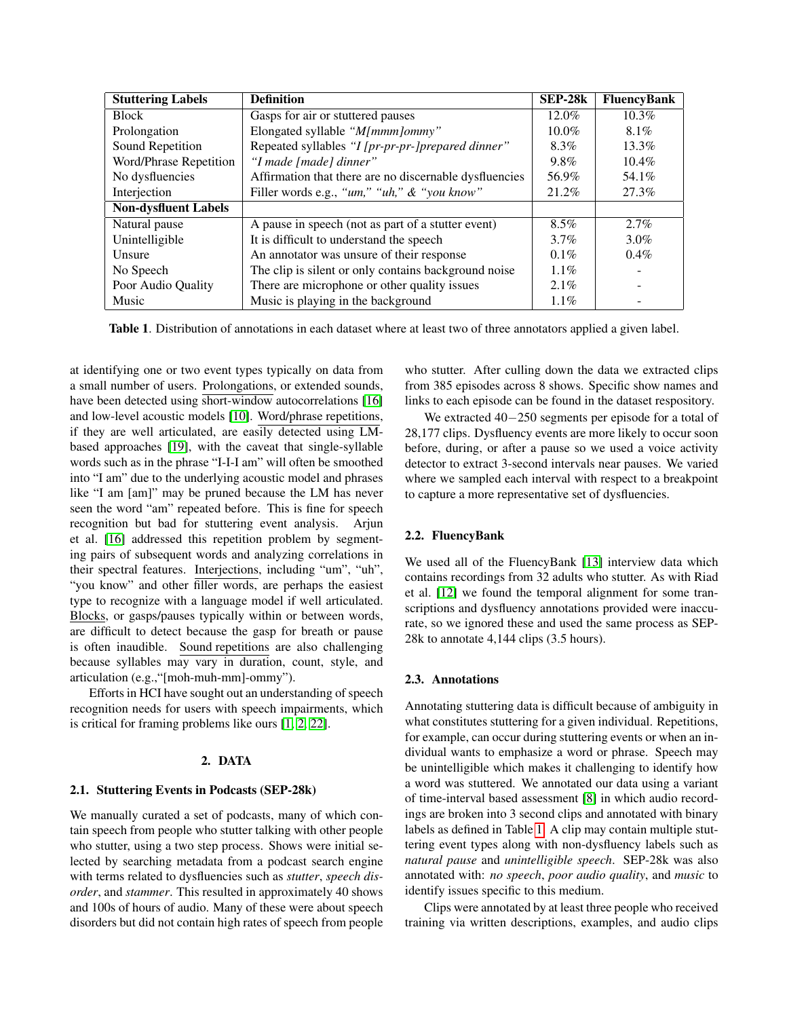| <b>Stuttering Labels</b>    | <b>Definition</b>                                      | SEP-28k  | <b>FluencyBank</b> |
|-----------------------------|--------------------------------------------------------|----------|--------------------|
| <b>Block</b>                | Gasps for air or stuttered pauses                      | $12.0\%$ | $10.3\%$           |
| Prolongation                | Elongated syllable "M[mmm]ommy"                        | $10.0\%$ | $8.1\%$            |
| Sound Repetition            | Repeated syllables "I [pr-pr-pr-]prepared dinner"      | 8.3%     | $13.3\%$           |
| Word/Phrase Repetition      | "I made [made] dinner"                                 | $9.8\%$  | $10.4\%$           |
| No dysfluencies             | Affirmation that there are no discernable dysfluencies | 56.9%    | 54.1%              |
| Interjection                | Filler words e.g., "um," "uh," & "you know"            | 21.2%    | 27.3%              |
| <b>Non-dysfluent Labels</b> |                                                        |          |                    |
| Natural pause               | A pause in speech (not as part of a stutter event)     | 8.5%     | $2.7\%$            |
| Unintelligible              | It is difficult to understand the speech               | 3.7%     | 3.0%               |
| Unsure                      | An annotator was unsure of their response              | $0.1\%$  | $0.4\%$            |
| No Speech                   | The clip is silent or only contains background noise   | $1.1\%$  |                    |
| Poor Audio Quality          | There are microphone or other quality issues           | $2.1\%$  |                    |
| Music                       | Music is playing in the background                     | $1.1\%$  |                    |

<span id="page-1-0"></span>Table 1. Distribution of annotations in each dataset where at least two of three annotators applied a given label.

at identifying one or two event types typically on data from a small number of users. Prolongations, or extended sounds, have been detected using short-window autocorrelations [\[16\]](#page-4-15) and low-level acoustic models [\[10\]](#page-4-9). Word/phrase repetitions, if they are well articulated, are easily detected using LMbased approaches [\[19\]](#page-4-18), with the caveat that single-syllable words such as in the phrase "I-I-I am" will often be smoothed into "I am" due to the underlying acoustic model and phrases like "I am [am]" may be pruned because the LM has never seen the word "am" repeated before. This is fine for speech recognition but bad for stuttering event analysis. Arjun et al. [\[16\]](#page-4-15) addressed this repetition problem by segmenting pairs of subsequent words and analyzing correlations in their spectral features. Interjections, including "um", "uh", "you know" and other filler words, are perhaps the easiest type to recognize with a language model if well articulated. Blocks, or gasps/pauses typically within or between words, are difficult to detect because the gasp for breath or pause is often inaudible. Sound repetitions are also challenging because syllables may vary in duration, count, style, and articulation (e.g.,"[moh-muh-mm]-ommy").

Efforts in HCI have sought out an understanding of speech recognition needs for users with speech impairments, which is critical for framing problems like ours [\[1,](#page-4-0) [2,](#page-4-1) [22\]](#page-4-21).

# 2. DATA

#### 2.1. Stuttering Events in Podcasts (SEP-28k)

We manually curated a set of podcasts, many of which contain speech from people who stutter talking with other people who stutter, using a two step process. Shows were initial selected by searching metadata from a podcast search engine with terms related to dysfluencies such as *stutter*, *speech disorder*, and *stammer*. This resulted in approximately 40 shows and 100s of hours of audio. Many of these were about speech disorders but did not contain high rates of speech from people who stutter. After culling down the data we extracted clips from 385 episodes across 8 shows. Specific show names and links to each episode can be found in the dataset respository.

We extracted 40−250 segments per episode for a total of 28,177 clips. Dysfluency events are more likely to occur soon before, during, or after a pause so we used a voice activity detector to extract 3-second intervals near pauses. We varied where we sampled each interval with respect to a breakpoint to capture a more representative set of dysfluencies.

### 2.2. FluencyBank

We used all of the FluencyBank [\[13\]](#page-4-12) interview data which contains recordings from 32 adults who stutter. As with Riad et al. [\[12\]](#page-4-11) we found the temporal alignment for some transcriptions and dysfluency annotations provided were inaccurate, so we ignored these and used the same process as SEP-28k to annotate 4,144 clips (3.5 hours).

### 2.3. Annotations

Annotating stuttering data is difficult because of ambiguity in what constitutes stuttering for a given individual. Repetitions, for example, can occur during stuttering events or when an individual wants to emphasize a word or phrase. Speech may be unintelligible which makes it challenging to identify how a word was stuttered. We annotated our data using a variant of time-interval based assessment [\[8\]](#page-4-7) in which audio recordings are broken into 3 second clips and annotated with binary labels as defined in Table [1.](#page-1-0) A clip may contain multiple stuttering event types along with non-dysfluency labels such as *natural pause* and *unintelligible speech*. SEP-28k was also annotated with: *no speech*, *poor audio quality*, and *music* to identify issues specific to this medium.

Clips were annotated by at least three people who received training via written descriptions, examples, and audio clips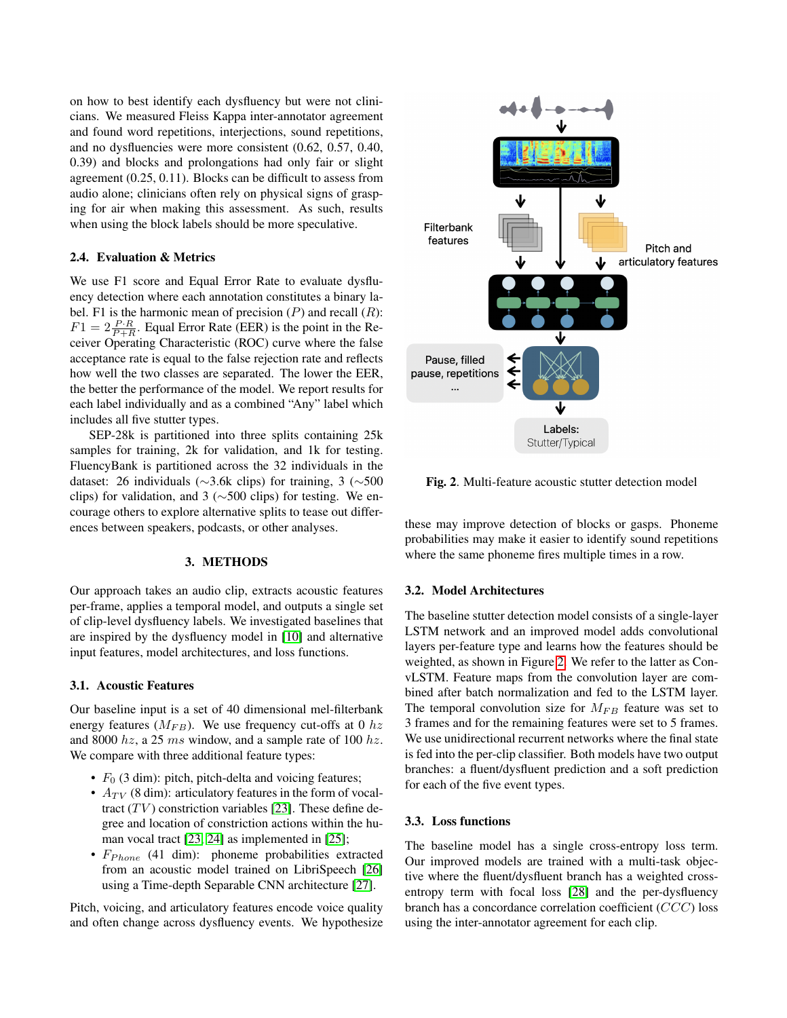on how to best identify each dysfluency but were not clinicians. We measured Fleiss Kappa inter-annotator agreement and found word repetitions, interjections, sound repetitions, and no dysfluencies were more consistent (0.62, 0.57, 0.40, 0.39) and blocks and prolongations had only fair or slight agreement (0.25, 0.11). Blocks can be difficult to assess from audio alone; clinicians often rely on physical signs of grasping for air when making this assessment. As such, results when using the block labels should be more speculative.

#### 2.4. Evaluation & Metrics

We use F1 score and Equal Error Rate to evaluate dysfluency detection where each annotation constitutes a binary label. F1 is the harmonic mean of precision  $(P)$  and recall  $(R)$ :  $F1 = 2 \frac{P \cdot R}{P + R}$ . Equal Error Rate (EER) is the point in the Receiver Operating Characteristic (ROC) curve where the false acceptance rate is equal to the false rejection rate and reflects how well the two classes are separated. The lower the EER, the better the performance of the model. We report results for each label individually and as a combined "Any" label which includes all five stutter types.

SEP-28k is partitioned into three splits containing 25k samples for training, 2k for validation, and 1k for testing. FluencyBank is partitioned across the 32 individuals in the dataset: 26 individuals (∼3.6k clips) for training, 3 (∼500 clips) for validation, and 3 (∼500 clips) for testing. We encourage others to explore alternative splits to tease out differences between speakers, podcasts, or other analyses.

#### 3. METHODS

Our approach takes an audio clip, extracts acoustic features per-frame, applies a temporal model, and outputs a single set of clip-level dysfluency labels. We investigated baselines that are inspired by the dysfluency model in [\[10\]](#page-4-9) and alternative input features, model architectures, and loss functions.

# 3.1. Acoustic Features

Our baseline input is a set of 40 dimensional mel-filterbank energy features  $(M_{FB})$ . We use frequency cut-offs at 0  $hz$ and 8000  $hz$ , a 25 ms window, and a sample rate of 100  $hz$ . We compare with three additional feature types:

- $F_0$  (3 dim): pitch, pitch-delta and voicing features;
- $A_{TV}$  (8 dim): articulatory features in the form of vocaltract  $(TV)$  constriction variables [\[23\]](#page-4-22). These define degree and location of constriction actions within the human vocal tract [\[23,](#page-4-22) [24\]](#page-4-23) as implemented in [\[25\]](#page-4-24);
- $F_{Phone}$  (41 dim): phoneme probabilities extracted from an acoustic model trained on LibriSpeech [\[26\]](#page-4-25) using a Time-depth Separable CNN architecture [\[27\]](#page-4-26).

Pitch, voicing, and articulatory features encode voice quality and often change across dysfluency events. We hypothesize



<span id="page-2-0"></span>Fig. 2. Multi-feature acoustic stutter detection model

these may improve detection of blocks or gasps. Phoneme probabilities may make it easier to identify sound repetitions where the same phoneme fires multiple times in a row.

# 3.2. Model Architectures

The baseline stutter detection model consists of a single-layer LSTM network and an improved model adds convolutional layers per-feature type and learns how the features should be weighted, as shown in Figure [2.](#page-2-0) We refer to the latter as ConvLSTM. Feature maps from the convolution layer are combined after batch normalization and fed to the LSTM layer. The temporal convolution size for  $M_{FB}$  feature was set to 3 frames and for the remaining features were set to 5 frames. We use unidirectional recurrent networks where the final state is fed into the per-clip classifier. Both models have two output branches: a fluent/dysfluent prediction and a soft prediction for each of the five event types.

# 3.3. Loss functions

The baseline model has a single cross-entropy loss term. Our improved models are trained with a multi-task objective where the fluent/dysfluent branch has a weighted crossentropy term with focal loss [\[28\]](#page-4-27) and the per-dysfluency branch has a concordance correlation coefficient (CCC) loss using the inter-annotator agreement for each clip.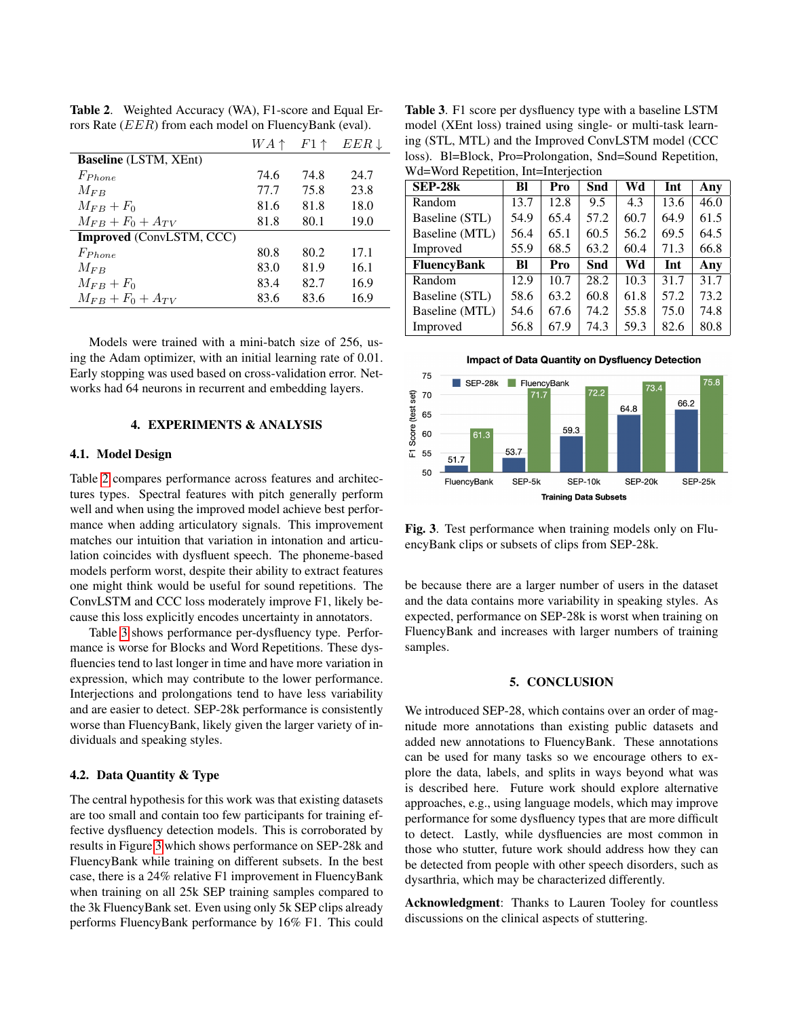|                                 | $WA \uparrow$ | $F1 \uparrow$ | $EER \downarrow$ |
|---------------------------------|---------------|---------------|------------------|
| <b>Baseline</b> (LSTM, XEnt)    |               |               |                  |
| $F_{Phone}$                     | 74.6          | 74.8          | 24.7             |
| $M_{FR}$                        | 77.7          | 75.8          | 23.8             |
| $M_{FB}+F_0$                    | 81.6          | 81.8          | 18.0             |
| $M_{FB}+F_0+A_{TV}$             | 81.8          | 80.1          | 19.0             |
| <b>Improved</b> (ConvLSTM, CCC) |               |               |                  |
| $F_{Phone}$                     | 80.8          | 80.2          | 17.1             |
| $M_{FR}$                        | 83.0          | 81.9          | 16.1             |
| $M_{FB}+F_0$                    | 83.4          | 82.7          | 16.9             |
| $M_{FB}+F_0+A_{TV}$             | 83.6          | 83.6          | 16.9             |

<span id="page-3-0"></span>Table 2. Weighted Accuracy (WA), F1-score and Equal Errors Rate (EER) from each model on FluencyBank (eval).

Models were trained with a mini-batch size of 256, using the Adam optimizer, with an initial learning rate of 0.01. Early stopping was used based on cross-validation error. Networks had 64 neurons in recurrent and embedding layers.

# 4. EXPERIMENTS & ANALYSIS

### 4.1. Model Design

Table [2](#page-3-0) compares performance across features and architectures types. Spectral features with pitch generally perform well and when using the improved model achieve best performance when adding articulatory signals. This improvement matches our intuition that variation in intonation and articulation coincides with dysfluent speech. The phoneme-based models perform worst, despite their ability to extract features one might think would be useful for sound repetitions. The ConvLSTM and CCC loss moderately improve F1, likely because this loss explicitly encodes uncertainty in annotators.

Table [3](#page-3-1) shows performance per-dysfluency type. Performance is worse for Blocks and Word Repetitions. These dysfluencies tend to last longer in time and have more variation in expression, which may contribute to the lower performance. Interjections and prolongations tend to have less variability and are easier to detect. SEP-28k performance is consistently worse than FluencyBank, likely given the larger variety of individuals and speaking styles.

### 4.2. Data Quantity & Type

The central hypothesis for this work was that existing datasets are too small and contain too few participants for training effective dysfluency detection models. This is corroborated by results in Figure [3](#page-3-2) which shows performance on SEP-28k and FluencyBank while training on different subsets. In the best case, there is a 24% relative F1 improvement in FluencyBank when training on all 25k SEP training samples compared to the 3k FluencyBank set. Even using only 5k SEP clips already performs FluencyBank performance by 16% F1. This could

<span id="page-3-1"></span>Table 3. F1 score per dysfluency type with a baseline LSTM model (XEnt loss) trained using single- or multi-task learning (STL, MTL) and the Improved ConvLSTM model (CCC loss). Bl=Block, Pro=Prolongation, Snd=Sound Repetition, Wd=Word Repetition, Int=Interjection

| <b>SEP-28k</b>     | Bl   | Pro  | Snd  | Wd   | Int  | Any  |
|--------------------|------|------|------|------|------|------|
| Random             | 13.7 | 12.8 | 9.5  | 4.3  | 13.6 | 46.0 |
| Baseline (STL)     | 54.9 | 65.4 | 57.2 | 60.7 | 64.9 | 61.5 |
| Baseline (MTL)     | 56.4 | 65.1 | 60.5 | 56.2 | 69.5 | 64.5 |
| Improved           | 55.9 | 68.5 | 63.2 | 60.4 | 71.3 | 66.8 |
| <b>FluencyBank</b> | BI   | Pro  | Snd  | Wd   | Int  | Any  |
| Random             | 12.9 | 10.7 | 28.2 | 10.3 | 31.7 | 31.7 |
| Baseline (STL)     | 58.6 | 63.2 | 60.8 | 61.8 | 57.2 | 73.2 |
| Baseline (MTL)     | 54.6 | 67.6 | 74.2 | 55.8 | 75.0 | 74.8 |
| Improved           | 56.8 | 67.9 | 74.3 | 59.3 | 82.6 | 80.8 |



<span id="page-3-2"></span>Fig. 3. Test performance when training models only on Flu-

**Training Data Subsets** 

encyBank clips or subsets of clips from SEP-28k.

be because there are a larger number of users in the dataset and the data contains more variability in speaking styles. As expected, performance on SEP-28k is worst when training on FluencyBank and increases with larger numbers of training samples.

#### 5. CONCLUSION

We introduced SEP-28, which contains over an order of magnitude more annotations than existing public datasets and added new annotations to FluencyBank. These annotations can be used for many tasks so we encourage others to explore the data, labels, and splits in ways beyond what was is described here. Future work should explore alternative approaches, e.g., using language models, which may improve performance for some dysfluency types that are more difficult to detect. Lastly, while dysfluencies are most common in those who stutter, future work should address how they can be detected from people with other speech disorders, such as dysarthria, which may be characterized differently.

Acknowledgment: Thanks to Lauren Tooley for countless discussions on the clinical aspects of stuttering.